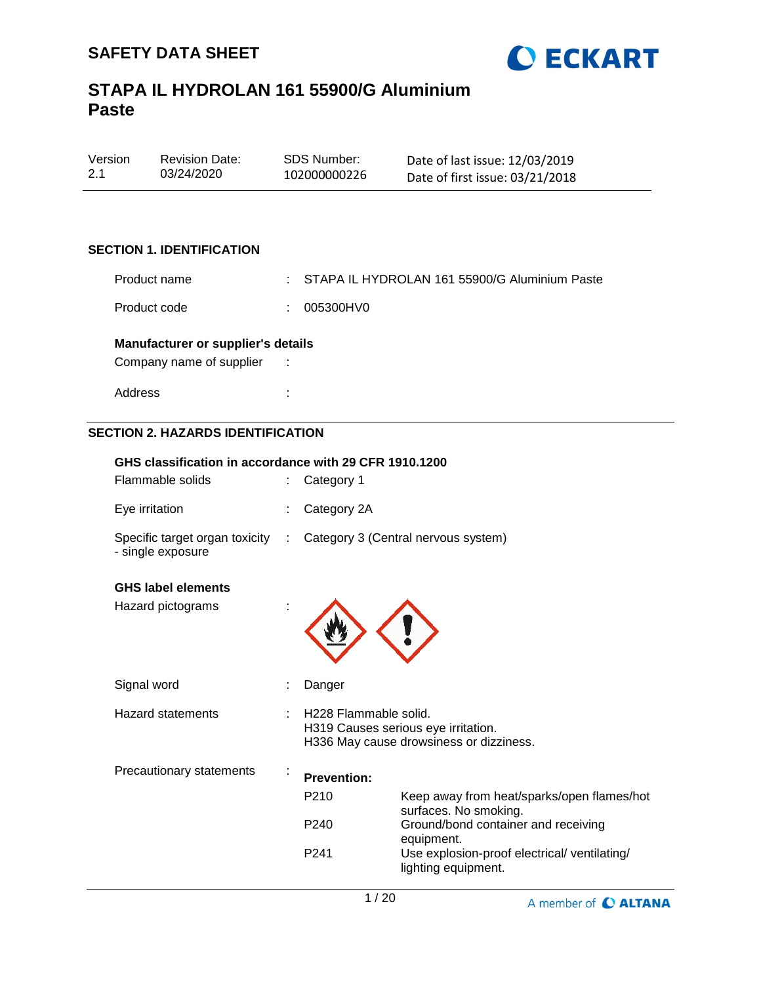

| Version | <b>Revision Date:</b> | SDS Number:  | Date of last issue: 12/03/2019  |
|---------|-----------------------|--------------|---------------------------------|
| 2.1     | 03/24/2020            | 102000000226 | Date of first issue: 03/21/2018 |

## **SECTION 1. IDENTIFICATION**

| Product name | : STAPA IL HYDROLAN 161 55900/G Aluminium Paste |
|--------------|-------------------------------------------------|
| Product code | : 005300HV0                                     |

### **Manufacturer or supplier's details**

Company name of supplier :

Address :

## **SECTION 2. HAZARDS IDENTIFICATION**

| GHS classification in accordance with 29 CFR 1910.1200 |   |                                                                                                                     |                                                                     |  |  |  |
|--------------------------------------------------------|---|---------------------------------------------------------------------------------------------------------------------|---------------------------------------------------------------------|--|--|--|
| Flammable solids                                       |   | Category 1                                                                                                          |                                                                     |  |  |  |
| Eye irritation                                         |   | Category 2A                                                                                                         |                                                                     |  |  |  |
| Specific target organ toxicity :<br>- single exposure  |   | Category 3 (Central nervous system)                                                                                 |                                                                     |  |  |  |
| <b>GHS label elements</b>                              |   |                                                                                                                     |                                                                     |  |  |  |
| Hazard pictograms                                      |   |                                                                                                                     |                                                                     |  |  |  |
| Signal word                                            |   | Danger                                                                                                              |                                                                     |  |  |  |
| <b>Hazard statements</b>                               |   | H <sub>228</sub> Flammable solid.<br>H319 Causes serious eye irritation.<br>H336 May cause drowsiness or dizziness. |                                                                     |  |  |  |
| Precautionary statements                               | ÷ | <b>Prevention:</b>                                                                                                  |                                                                     |  |  |  |
|                                                        |   | P <sub>210</sub>                                                                                                    | Keep away from heat/sparks/open flames/hot<br>surfaces. No smoking. |  |  |  |
|                                                        |   | P <sub>240</sub>                                                                                                    | Ground/bond container and receiving<br>equipment.                   |  |  |  |
|                                                        |   | P <sub>241</sub>                                                                                                    | Use explosion-proof electrical/ ventilating/<br>lighting equipment. |  |  |  |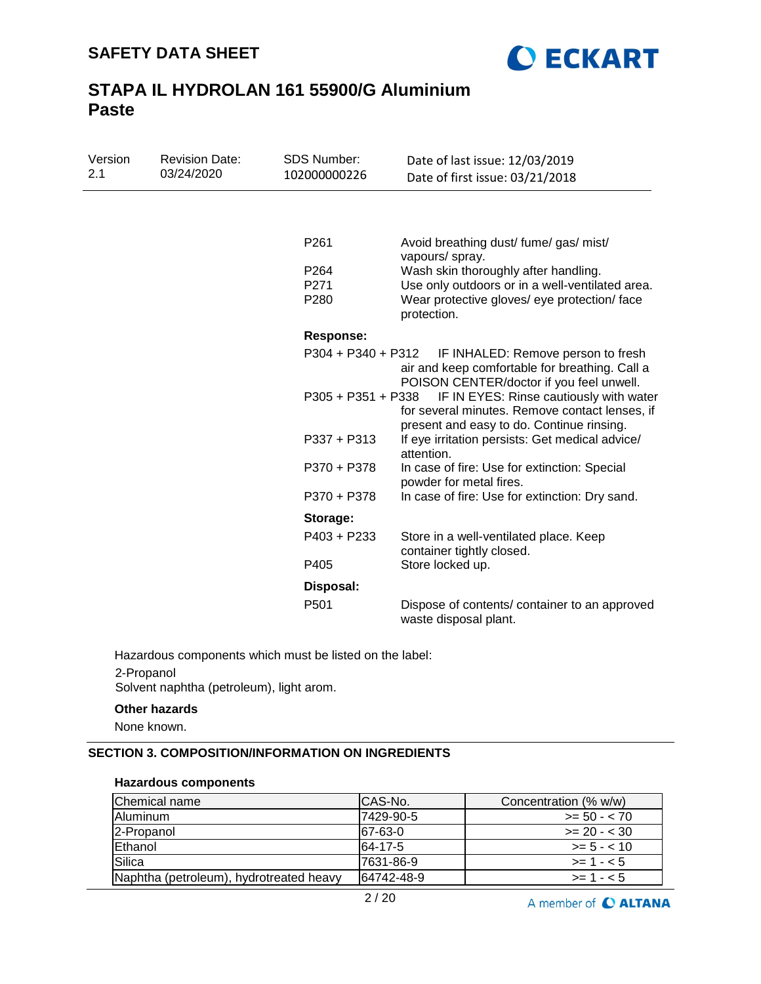

| Version<br>2.1 | <b>Revision Date:</b><br>03/24/2020 | <b>SDS Number:</b><br>102000000226 | Date of last issue: 12/03/2019<br>Date of first issue: 03/21/2018                                                                      |  |  |  |
|----------------|-------------------------------------|------------------------------------|----------------------------------------------------------------------------------------------------------------------------------------|--|--|--|
|                |                                     |                                    |                                                                                                                                        |  |  |  |
|                |                                     | P261                               | Avoid breathing dust/ fume/ gas/ mist/<br>vapours/ spray.                                                                              |  |  |  |
|                |                                     | P <sub>264</sub>                   | Wash skin thoroughly after handling.                                                                                                   |  |  |  |
|                |                                     | P271                               | Use only outdoors or in a well-ventilated area.                                                                                        |  |  |  |
|                |                                     | P280                               | Wear protective gloves/ eye protection/ face<br>protection.                                                                            |  |  |  |
|                |                                     | <b>Response:</b>                   |                                                                                                                                        |  |  |  |
|                |                                     | $P304 + P340 + P312$               | IF INHALED: Remove person to fresh<br>air and keep comfortable for breathing. Call a<br>POISON CENTER/doctor if you feel unwell.       |  |  |  |
|                |                                     | $P305 + P351 + P338$               | IF IN EYES: Rinse cautiously with water<br>for several minutes. Remove contact lenses, if<br>present and easy to do. Continue rinsing. |  |  |  |
|                |                                     | $P337 + P313$                      | If eye irritation persists: Get medical advice/<br>attention.                                                                          |  |  |  |
|                |                                     | P370 + P378                        | In case of fire: Use for extinction: Special<br>powder for metal fires.                                                                |  |  |  |
|                |                                     | P370 + P378                        | In case of fire: Use for extinction: Dry sand.                                                                                         |  |  |  |
|                |                                     | Storage:                           |                                                                                                                                        |  |  |  |
|                |                                     | P403 + P233                        | Store in a well-ventilated place. Keep<br>container tightly closed.                                                                    |  |  |  |
|                |                                     | P405                               | Store locked up.                                                                                                                       |  |  |  |
|                |                                     | Disposal:                          |                                                                                                                                        |  |  |  |
|                |                                     | P501                               | Dispose of contents/container to an approved<br>waste disposal plant.                                                                  |  |  |  |

Hazardous components which must be listed on the label:

## 2-Propanol Solvent naphtha (petroleum), light arom.

### **Other hazards**

None known.

## **SECTION 3. COMPOSITION/INFORMATION ON INGREDIENTS**

#### **Hazardous components**

| Chemical name                           | ICAS-No.   | Concentration (% w/w) |
|-----------------------------------------|------------|-----------------------|
| <b>IAluminum</b>                        | l7429-90-5 | $>= 50 - < 70$        |
| 2-Propanol                              | 167-63-0   | $>= 20 - 30$          |
| Ethanol                                 | 64-17-5    | $>= 5 - < 10$         |
| Silica                                  | l7631-86-9 | $>= 1 - 5$            |
| Naphtha (petroleum), hydrotreated heavy | 64742-48-9 | $>= 1 - 5$            |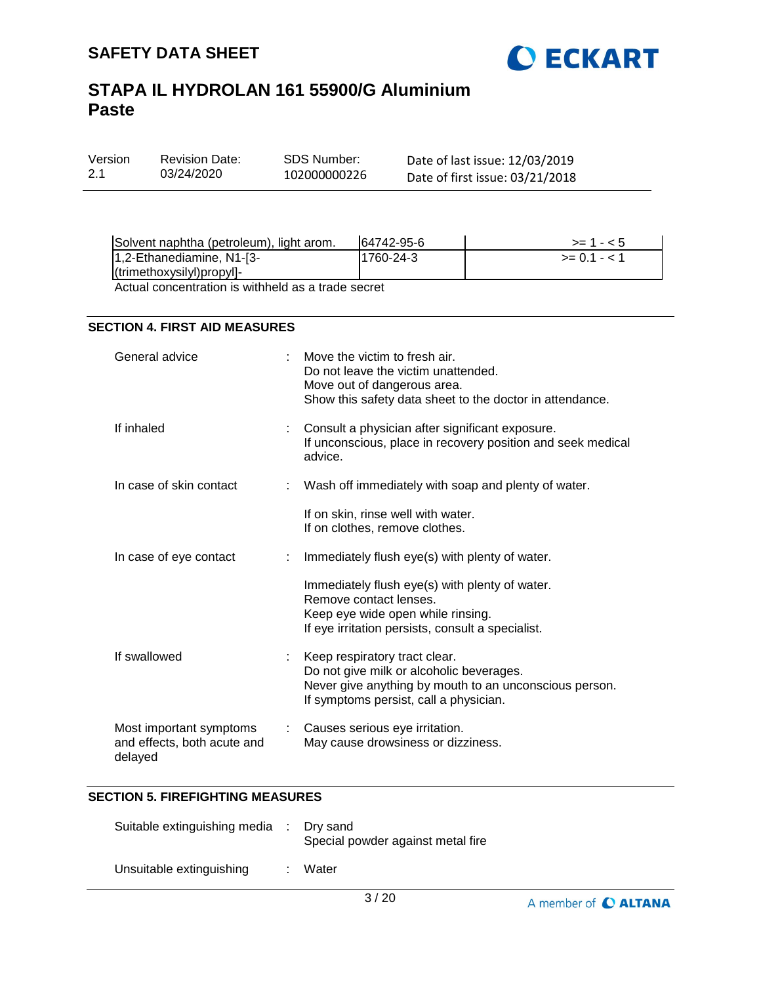

| Version | <b>Revision Date:</b> |
|---------|-----------------------|
| -2.1    | 03/24/2020            |

SDS Number: 102000000226 Date of last issue: 12/03/2019 Date of first issue: 03/21/2018

| Solvent naphtha (petroleum), light arom.                                                                       | 64742-95-6 | $>= 1 - 5$     |
|----------------------------------------------------------------------------------------------------------------|------------|----------------|
| $ 1,2$ -Ethanediamine, N1-[3-                                                                                  | 1760-24-3  | $>= 0.1 - 1.1$ |
| $($ trimethoxysilyl $)$ propyl $]-$                                                                            |            |                |
| . A set of the contract of the contract of the contract of the contract of the contract of the contract of the |            |                |

Actual concentration is withheld as a trade secret

## **SECTION 4. FIRST AID MEASURES**

| General advice                                                    |                             | Move the victim to fresh air.<br>Do not leave the victim unattended.<br>Move out of dangerous area.<br>Show this safety data sheet to the doctor in attendance.               |
|-------------------------------------------------------------------|-----------------------------|-------------------------------------------------------------------------------------------------------------------------------------------------------------------------------|
| If inhaled                                                        |                             | Consult a physician after significant exposure.<br>If unconscious, place in recovery position and seek medical<br>advice.                                                     |
| In case of skin contact                                           |                             | Wash off immediately with soap and plenty of water.                                                                                                                           |
|                                                                   |                             | If on skin, rinse well with water.<br>If on clothes, remove clothes.                                                                                                          |
| In case of eye contact                                            |                             | Immediately flush eye(s) with plenty of water.                                                                                                                                |
|                                                                   |                             | Immediately flush eye(s) with plenty of water.<br>Remove contact lenses.<br>Keep eye wide open while rinsing.<br>If eye irritation persists, consult a specialist.            |
| If swallowed                                                      | $\mathcal{L}^{\mathcal{L}}$ | Keep respiratory tract clear.<br>Do not give milk or alcoholic beverages.<br>Never give anything by mouth to an unconscious person.<br>If symptoms persist, call a physician. |
| Most important symptoms<br>and effects, both acute and<br>delayed |                             | : Causes serious eye irritation.<br>May cause drowsiness or dizziness.                                                                                                        |

## **SECTION 5. FIREFIGHTING MEASURES**

| Suitable extinguishing media | : Dry sand<br>Special powder against metal fire |
|------------------------------|-------------------------------------------------|
| Unsuitable extinguishing     | Water                                           |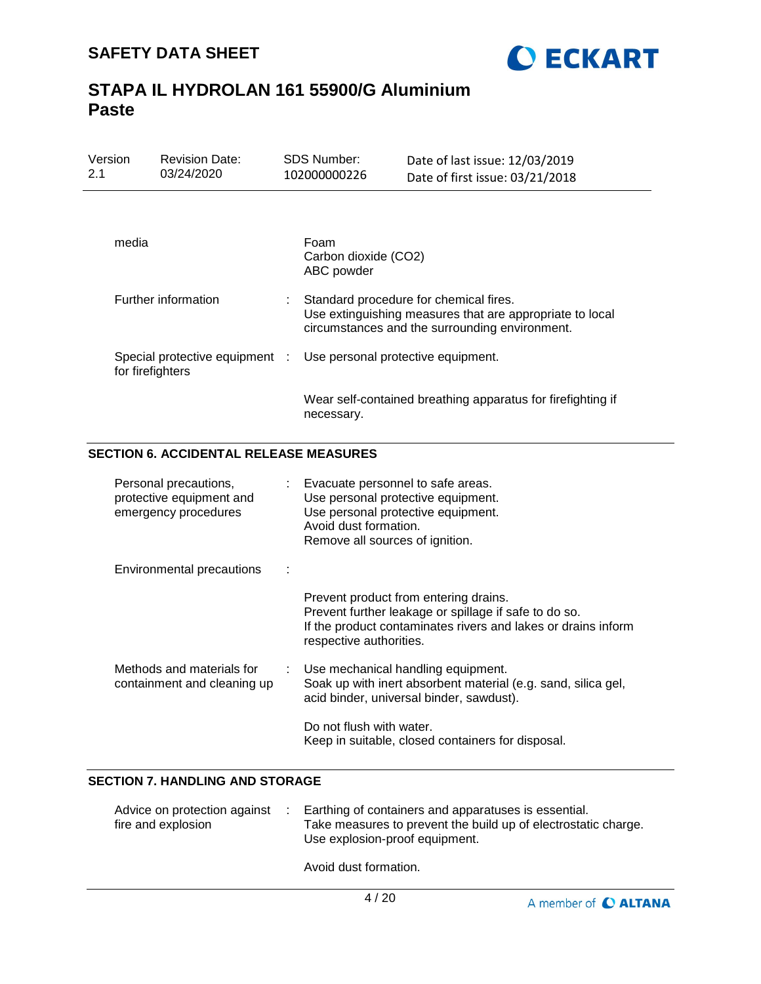

| Version<br>2.1 |                                                                           | <b>Revision Date:</b><br>03/24/2020                      |              | SDS Number:<br>102000000226                                                                                                                                               | Date of last issue: 12/03/2019<br>Date of first issue: 03/21/2018                                                                                               |  |
|----------------|---------------------------------------------------------------------------|----------------------------------------------------------|--------------|---------------------------------------------------------------------------------------------------------------------------------------------------------------------------|-----------------------------------------------------------------------------------------------------------------------------------------------------------------|--|
|                |                                                                           |                                                          |              |                                                                                                                                                                           |                                                                                                                                                                 |  |
|                | media                                                                     |                                                          |              | Foam<br>Carbon dioxide (CO2)<br>ABC powder                                                                                                                                |                                                                                                                                                                 |  |
|                |                                                                           | Further information                                      |              | Standard procedure for chemical fires.<br>Use extinguishing measures that are appropriate to local<br>circumstances and the surrounding environment.                      |                                                                                                                                                                 |  |
|                | for firefighters                                                          | Special protective equipment                             | $\mathbb{R}$ | Use personal protective equipment.                                                                                                                                        |                                                                                                                                                                 |  |
|                |                                                                           |                                                          |              | necessary.                                                                                                                                                                | Wear self-contained breathing apparatus for firefighting if                                                                                                     |  |
|                |                                                                           | <b>SECTION 6. ACCIDENTAL RELEASE MEASURES</b>            |              |                                                                                                                                                                           |                                                                                                                                                                 |  |
|                | Personal precautions,<br>protective equipment and<br>emergency procedures |                                                          |              | Evacuate personnel to safe areas.<br>Use personal protective equipment.<br>Use personal protective equipment.<br>Avoid dust formation.<br>Remove all sources of ignition. |                                                                                                                                                                 |  |
|                |                                                                           | <b>Environmental precautions</b>                         |              |                                                                                                                                                                           |                                                                                                                                                                 |  |
|                |                                                                           |                                                          |              | respective authorities.                                                                                                                                                   | Prevent product from entering drains.<br>Prevent further leakage or spillage if safe to do so.<br>If the product contaminates rivers and lakes or drains inform |  |
|                |                                                                           | Methods and materials for<br>containment and cleaning up |              |                                                                                                                                                                           | Use mechanical handling equipment.<br>Soak up with inert absorbent material (e.g. sand, silica gel,<br>acid binder, universal binder, sawdust).                 |  |
|                |                                                                           |                                                          |              | Do not flush with water.                                                                                                                                                  | Keep in suitable, closed containers for disposal.                                                                                                               |  |

## **SECTION 7. HANDLING AND STORAGE**

| Advice on protection against<br>fire and explosion | Earthing of containers and apparatuses is essential.<br>Take measures to prevent the build up of electrostatic charge.<br>Use explosion-proof equipment. |
|----------------------------------------------------|----------------------------------------------------------------------------------------------------------------------------------------------------------|
|                                                    | Avoid dust formation.                                                                                                                                    |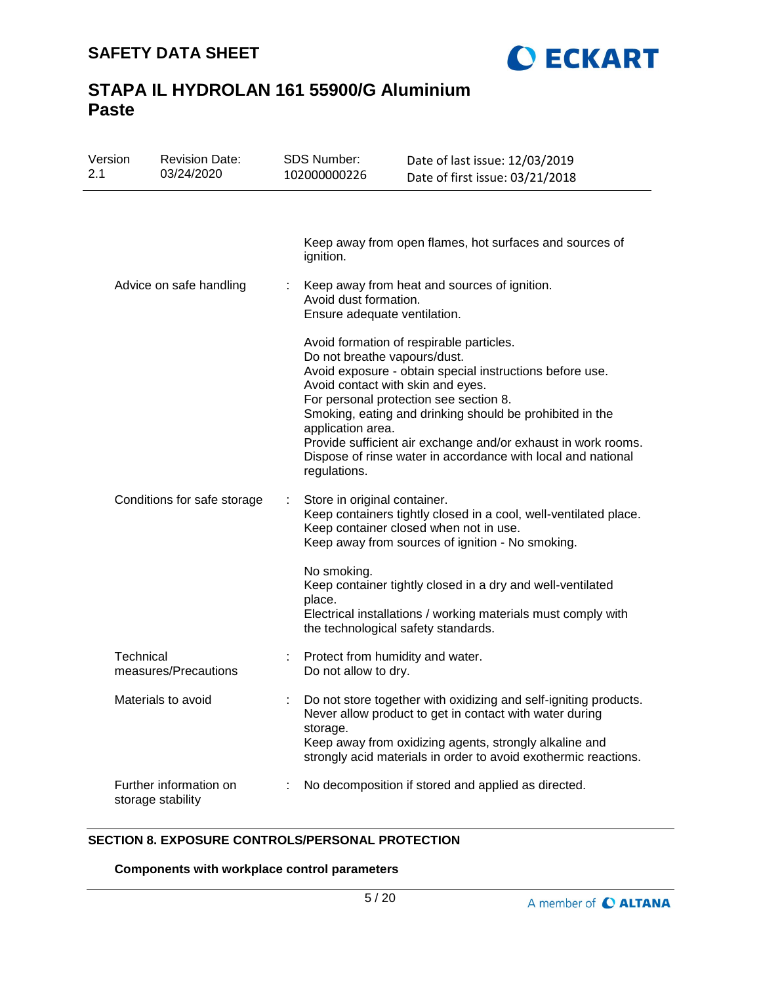

| Version<br>2.1 | <b>Revision Date:</b><br>03/24/2020         |    | <b>SDS Number:</b><br>102000000226                                                                     | Date of last issue: 12/03/2019<br>Date of first issue: 03/21/2018                                                                                                                                                                                                                                                                           |
|----------------|---------------------------------------------|----|--------------------------------------------------------------------------------------------------------|---------------------------------------------------------------------------------------------------------------------------------------------------------------------------------------------------------------------------------------------------------------------------------------------------------------------------------------------|
|                |                                             |    | ignition.                                                                                              | Keep away from open flames, hot surfaces and sources of                                                                                                                                                                                                                                                                                     |
|                | Advice on safe handling                     |    | Avoid dust formation.<br>Ensure adequate ventilation.                                                  | Keep away from heat and sources of ignition.                                                                                                                                                                                                                                                                                                |
|                |                                             |    | Do not breathe vapours/dust.<br>Avoid contact with skin and eyes.<br>application area.<br>regulations. | Avoid formation of respirable particles.<br>Avoid exposure - obtain special instructions before use.<br>For personal protection see section 8.<br>Smoking, eating and drinking should be prohibited in the<br>Provide sufficient air exchange and/or exhaust in work rooms.<br>Dispose of rinse water in accordance with local and national |
|                | Conditions for safe storage                 | ÷. | Store in original container.                                                                           | Keep containers tightly closed in a cool, well-ventilated place.<br>Keep container closed when not in use.<br>Keep away from sources of ignition - No smoking.                                                                                                                                                                              |
|                |                                             |    | No smoking.<br>place.<br>the technological safety standards.                                           | Keep container tightly closed in a dry and well-ventilated<br>Electrical installations / working materials must comply with                                                                                                                                                                                                                 |
| Technical      | measures/Precautions                        |    | Protect from humidity and water.<br>Do not allow to dry.                                               |                                                                                                                                                                                                                                                                                                                                             |
|                | Materials to avoid                          |    | storage.                                                                                               | Do not store together with oxidizing and self-igniting products.<br>Never allow product to get in contact with water during<br>Keep away from oxidizing agents, strongly alkaline and<br>strongly acid materials in order to avoid exothermic reactions.                                                                                    |
|                | Further information on<br>storage stability |    |                                                                                                        | No decomposition if stored and applied as directed.                                                                                                                                                                                                                                                                                         |

## **SECTION 8. EXPOSURE CONTROLS/PERSONAL PROTECTION**

**Components with workplace control parameters**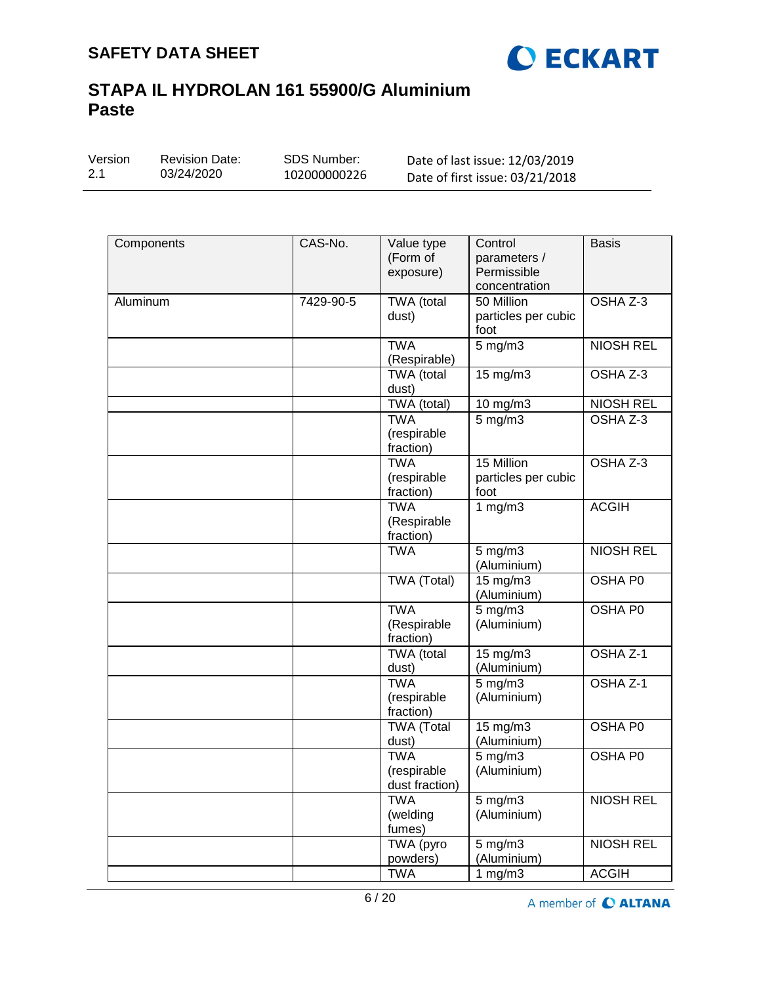

| Version | <b>Revision Date:</b> | SDS Number:  | Date of last issue: 12/03/2019  |  |  |
|---------|-----------------------|--------------|---------------------------------|--|--|
| 2.1     | 03/24/2020            | 102000000226 | Date of first issue: 03/21/2018 |  |  |

| Components | CAS-No.   | Value type<br>(Form of<br>exposure)         | Control<br>parameters /<br>Permissible<br>concentration | <b>Basis</b>     |
|------------|-----------|---------------------------------------------|---------------------------------------------------------|------------------|
| Aluminum   | 7429-90-5 | TWA (total<br>dust)                         | 50 Million<br>particles per cubic<br>foot               | OSHA Z-3         |
|            |           | <b>TWA</b><br>(Respirable)                  | $5$ mg/m $3$                                            | <b>NIOSH REL</b> |
|            |           | TWA (total<br>dust)                         | 15 mg/m3                                                | OSHA Z-3         |
|            |           | TWA (total)                                 | 10 mg/m3                                                | <b>NIOSH REL</b> |
|            |           | <b>TWA</b><br>(respirable<br>fraction)      | $5$ mg/m $3$                                            | OSHA Z-3         |
|            |           | <b>TWA</b><br>(respirable<br>fraction)      | 15 Million<br>particles per cubic<br>foot               | OSHA Z-3         |
|            |           | <b>TWA</b><br>(Respirable<br>fraction)      | 1 $mg/m3$                                               | <b>ACGIH</b>     |
|            |           | <b>TWA</b>                                  | $5$ mg/m $3$<br>(Aluminium)                             | <b>NIOSH REL</b> |
|            |           | <b>TWA (Total)</b>                          | 15 mg/m3<br>(Aluminium)                                 | OSHA P0          |
|            |           | <b>TWA</b><br>(Respirable<br>fraction)      | $5$ mg/m $3$<br>(Aluminium)                             | <b>OSHA P0</b>   |
|            |           | TWA (total<br>dust)                         | $15 \overline{\mathrm{mg}}/\mathrm{m}3$<br>(Aluminium)  | OSHA Z-1         |
|            |           | <b>TWA</b><br>(respirable<br>fraction)      | $5$ mg/m $3$<br>(Aluminium)                             | OSHA Z-1         |
|            |           | <b>TWA</b> (Total<br>dust)                  | 15 mg/m3<br>(Aluminium)                                 | OSHA P0          |
|            |           | <b>TWA</b><br>(respirable<br>dust fraction) | $5$ mg/m $3$<br>(Aluminium)                             | OSHA P0          |
|            |           | <b>TWA</b><br>(welding<br>fumes)            | $5 \text{ mg/m}$<br>(Aluminium)                         | <b>NIOSH REL</b> |
|            |           | TWA (pyro<br>powders)                       | $5$ mg/m $3$<br>(Aluminium)                             | <b>NIOSH REL</b> |
|            |           | <b>TWA</b>                                  | 1 $mg/m3$                                               | <b>ACGIH</b>     |

A member of C ALTANA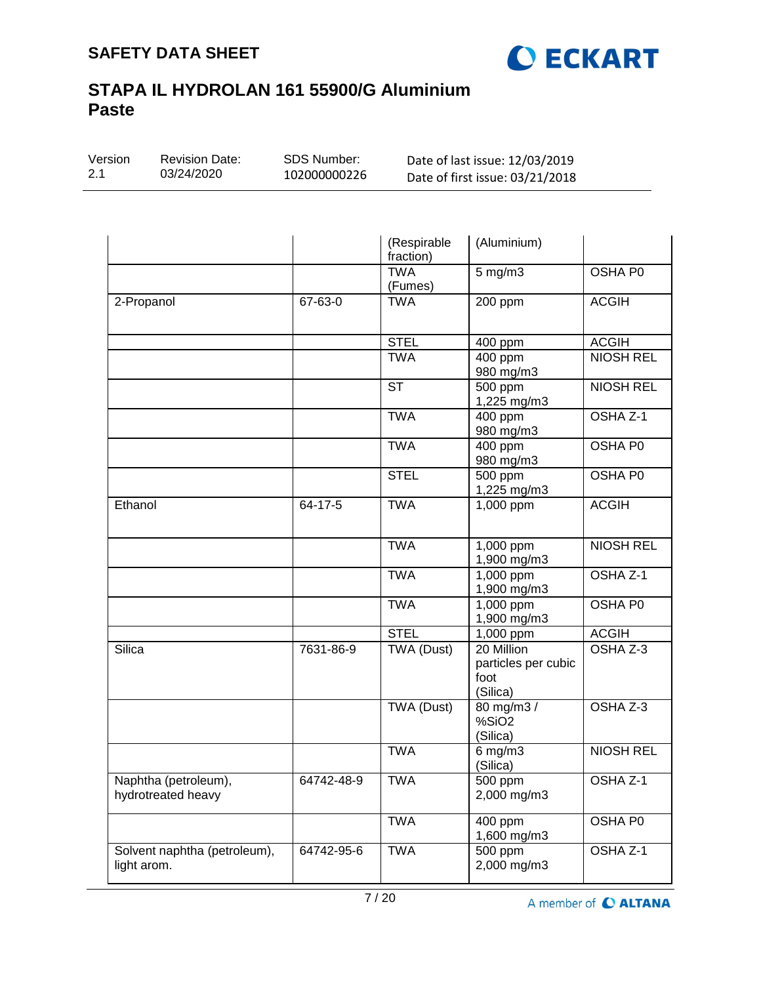

| Version | <b>Revision Date:</b> | SDS Number:  | Date of last issue: 12/03/2019  |
|---------|-----------------------|--------------|---------------------------------|
| 2.1     | 03/24/2020            | 102000000226 | Date of first issue: 03/21/2018 |
|         |                       |              |                                 |

|                                             |            | (Respirable<br>fraction) | (Aluminium)                                           |                     |
|---------------------------------------------|------------|--------------------------|-------------------------------------------------------|---------------------|
|                                             |            | <b>TWA</b><br>(Fumes)    | 5 mg/m3                                               | OSHA PO             |
| 2-Propanol                                  | 67-63-0    | <b>TWA</b>               | 200 ppm                                               | <b>ACGIH</b>        |
|                                             |            | <b>STEL</b>              | $\overline{4}00$ ppm                                  | <b>ACGIH</b>        |
|                                             |            | <b>TWA</b>               | 400 ppm<br>980 mg/m3                                  | <b>NIOSH REL</b>    |
|                                             |            | $\overline{\text{ST}}$   | 500 ppm<br>1,225 mg/m3                                | <b>NIOSH REL</b>    |
|                                             |            | <b>TWA</b>               | 400 ppm<br>980 mg/m3                                  | OSHA Z-1            |
|                                             |            | <b>TWA</b>               | 400 ppm<br>980 mg/m3                                  | OSHA P0             |
|                                             |            | <b>STEL</b>              | $\overline{500}$ ppm<br>1,225 mg/m3                   | OSHA P0             |
| Ethanol                                     | 64-17-5    | <b>TWA</b>               | 1,000 ppm                                             | <b>ACGIH</b>        |
|                                             |            | <b>TWA</b>               | 1,000 ppm<br>1,900 mg/m3                              | <b>NIOSH REL</b>    |
|                                             |            | <b>TWA</b>               | 1,000 ppm<br>1,900 mg/m3                              | OSHA <sub>Z-1</sub> |
|                                             |            | <b>TWA</b>               | 1,000 ppm<br>1,900 mg/m3                              | OSHA P0             |
|                                             |            | <b>STEL</b>              | 1,000 ppm                                             | <b>ACGIH</b>        |
| Silica                                      | 7631-86-9  | TWA (Dust)               | 20 Million<br>particles per cubic<br>foot<br>(Silica) | OSHA Z-3            |
|                                             |            | <b>TWA (Dust)</b>        | 80 mg/m3 /<br>%SiO <sub>2</sub><br>(Silica)           | OSHA Z-3            |
|                                             |            | <b>TWA</b>               | $6$ mg/m $3$<br>(Silica)                              | <b>NIOSH REL</b>    |
| Naphtha (petroleum),<br>hydrotreated heavy  | 64742-48-9 | <b>TWA</b>               | 500 ppm<br>2,000 mg/m3                                | OSHA Z-1            |
|                                             |            | <b>TWA</b>               | $\overline{4}00$ ppm<br>1,600 mg/m3                   | OSHA P0             |
| Solvent naphtha (petroleum),<br>light arom. | 64742-95-6 | <b>TWA</b>               | 500 ppm<br>2,000 mg/m3                                | OSHA Z-1            |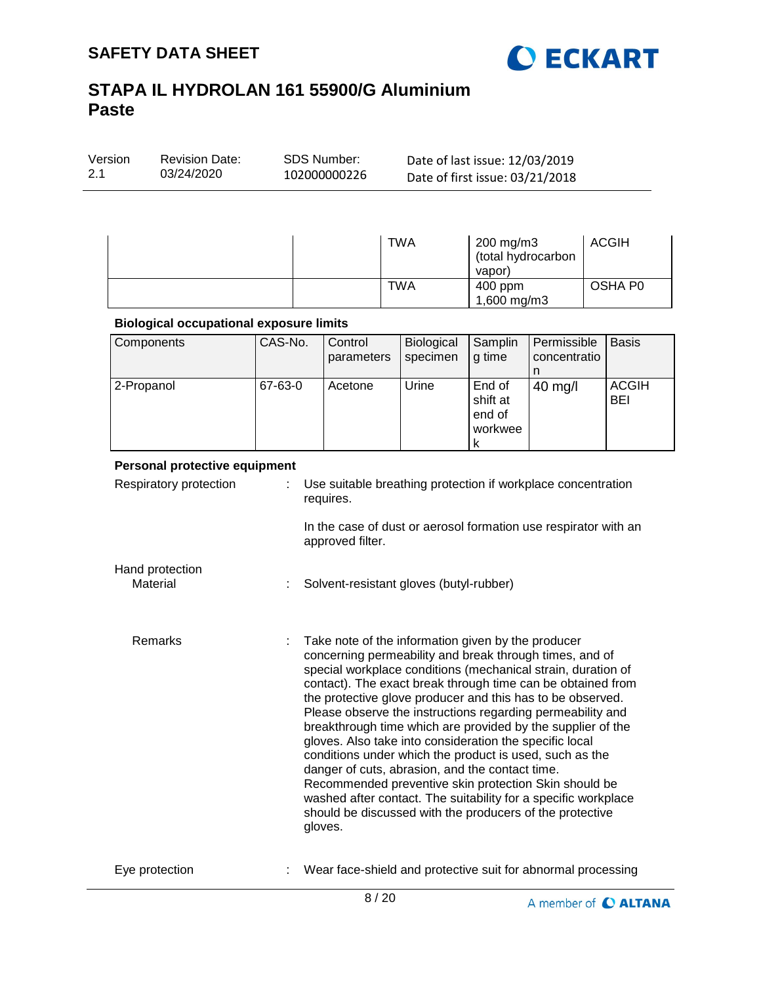

| <b>SDS Number:</b><br>Version<br><b>Revision Date:</b><br>03/24/2020<br>2.1<br>102000000226 | Date of last issue: 12/03/2019<br>Date of first issue: 03/21/2018 |
|---------------------------------------------------------------------------------------------|-------------------------------------------------------------------|
|---------------------------------------------------------------------------------------------|-------------------------------------------------------------------|

| <b>TWA</b> | $200$ mg/m $3$<br>(total hydrocarbon<br>vapor) | ACGIH   |
|------------|------------------------------------------------|---------|
| TWA        | 400 ppm<br>1,600 mg/m3                         | OSHA P0 |

### **Biological occupational exposure limits**

| Components | CAS-No. | Control<br>parameters | <b>Biological</b><br>specimen | Samplin<br>g time                            | Permissible<br>concentratio | <b>Basis</b>               |
|------------|---------|-----------------------|-------------------------------|----------------------------------------------|-----------------------------|----------------------------|
| 2-Propanol | 67-63-0 | Acetone               | Urine                         | End of<br>shift at<br>end of<br>workwee<br>к | $40$ mg/l                   | <b>ACGIH</b><br><b>BEI</b> |

### **Personal protective equipment**

| Respiratory protection      |   | Use suitable breathing protection if workplace concentration<br>requires.                                                                                                                                                                                                                                                                                                                                                                                                                                                                                                                                                                                                                                                                                                                                          |
|-----------------------------|---|--------------------------------------------------------------------------------------------------------------------------------------------------------------------------------------------------------------------------------------------------------------------------------------------------------------------------------------------------------------------------------------------------------------------------------------------------------------------------------------------------------------------------------------------------------------------------------------------------------------------------------------------------------------------------------------------------------------------------------------------------------------------------------------------------------------------|
|                             |   | In the case of dust or aerosol formation use respirator with an<br>approved filter.                                                                                                                                                                                                                                                                                                                                                                                                                                                                                                                                                                                                                                                                                                                                |
| Hand protection<br>Material | ÷ | Solvent-resistant gloves (butyl-rubber)                                                                                                                                                                                                                                                                                                                                                                                                                                                                                                                                                                                                                                                                                                                                                                            |
| <b>Remarks</b>              |   | Take note of the information given by the producer<br>concerning permeability and break through times, and of<br>special workplace conditions (mechanical strain, duration of<br>contact). The exact break through time can be obtained from<br>the protective glove producer and this has to be observed.<br>Please observe the instructions regarding permeability and<br>breakthrough time which are provided by the supplier of the<br>gloves. Also take into consideration the specific local<br>conditions under which the product is used, such as the<br>danger of cuts, abrasion, and the contact time.<br>Recommended preventive skin protection Skin should be<br>washed after contact. The suitability for a specific workplace<br>should be discussed with the producers of the protective<br>gloves. |
| Eye protection              |   | Wear face-shield and protective suit for abnormal processing                                                                                                                                                                                                                                                                                                                                                                                                                                                                                                                                                                                                                                                                                                                                                       |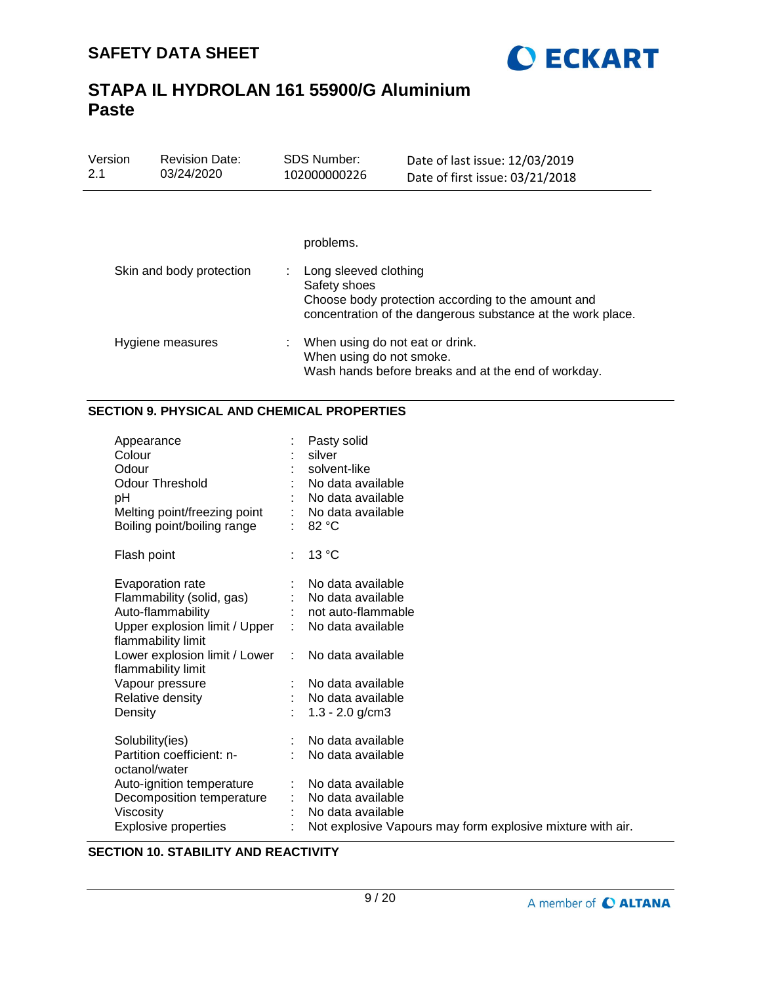

| Version<br>2.1 | <b>Revision Date:</b><br>03/24/2020 | <b>SDS Number:</b><br>102000000226                          | Date of last issue: 12/03/2019<br>Date of first issue: 03/21/2018                                                 |
|----------------|-------------------------------------|-------------------------------------------------------------|-------------------------------------------------------------------------------------------------------------------|
|                |                                     | problems.                                                   |                                                                                                                   |
|                | Skin and body protection            | Long sleeved clothing<br>Safety shoes                       | Choose body protection according to the amount and<br>concentration of the dangerous substance at the work place. |
|                | Hygiene measures                    | When using do not eat or drink.<br>When using do not smoke. | Wash hands before breaks and at the end of workday.                                                               |

## **SECTION 9. PHYSICAL AND CHEMICAL PROPERTIES**

| Appearance<br>Colour<br>Odour<br>Odour Threshold<br>pH<br>Melting point/freezing point<br>Boiling point/boiling range                                                                                                              |   | Pasty solid<br>silver<br>solvent-like<br>No data available<br>No data available<br>No data available<br>82 °C                                                         |
|------------------------------------------------------------------------------------------------------------------------------------------------------------------------------------------------------------------------------------|---|-----------------------------------------------------------------------------------------------------------------------------------------------------------------------|
| Flash point                                                                                                                                                                                                                        | ÷ | 13 °C                                                                                                                                                                 |
| Evaporation rate<br>Flammability (solid, gas)<br>Auto-flammability<br>Upper explosion limit / Upper<br>flammability limit<br>Lower explosion limit / Lower<br>flammability limit<br>Vapour pressure<br>Relative density<br>Density |   | No data available<br>No data available<br>not auto-flammable<br>No data available<br>No data available<br>No data available<br>No data available<br>$1.3 - 2.0$ g/cm3 |
| Solubility(ies)<br>Partition coefficient: n-<br>octanol/water<br>Auto-ignition temperature<br>Decomposition temperature<br>Viscosity<br><b>Explosive properties</b>                                                                |   | No data available<br>No data available<br>No data available<br>No data available<br>No data available<br>Not explosive Vapours may form explosive mixture with air.   |

## **SECTION 10. STABILITY AND REACTIVITY**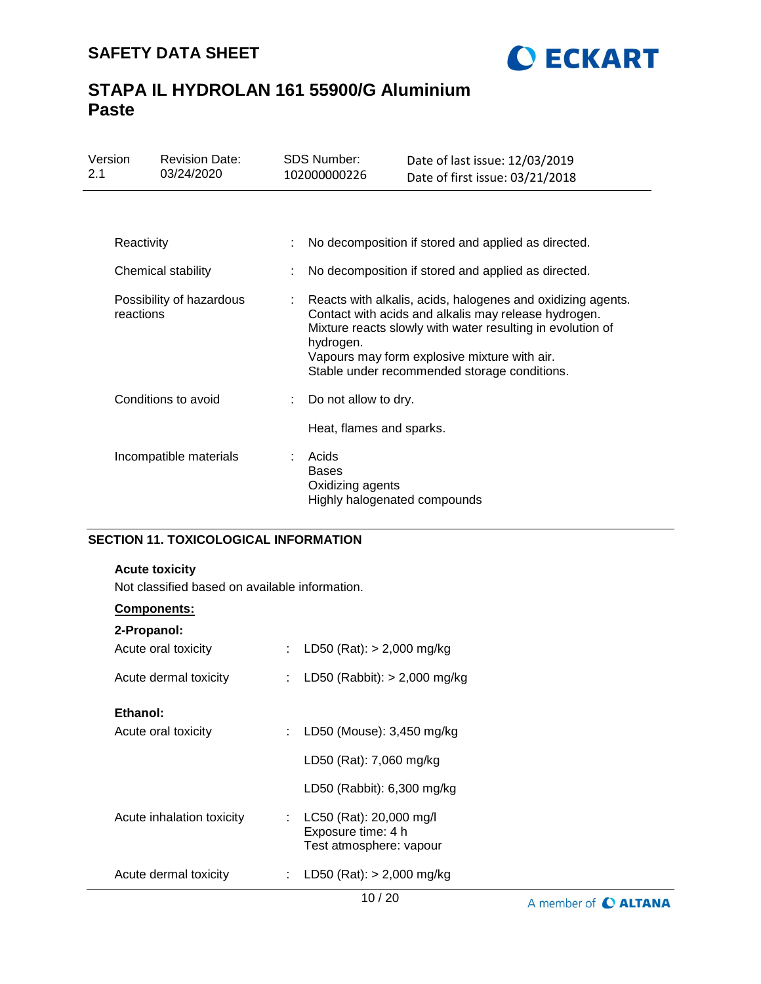

| Version<br>2.1 |                                       | <b>Revision Date:</b><br>03/24/2020 |                                                     | <b>SDS Number:</b><br>102000000226                                                                                                                                                                                                                                                             | Date of last issue: 12/03/2019<br>Date of first issue: 03/21/2018 |  |  |
|----------------|---------------------------------------|-------------------------------------|-----------------------------------------------------|------------------------------------------------------------------------------------------------------------------------------------------------------------------------------------------------------------------------------------------------------------------------------------------------|-------------------------------------------------------------------|--|--|
|                |                                       |                                     |                                                     |                                                                                                                                                                                                                                                                                                |                                                                   |  |  |
| Reactivity     |                                       |                                     | No decomposition if stored and applied as directed. |                                                                                                                                                                                                                                                                                                |                                                                   |  |  |
|                | Chemical stability                    |                                     |                                                     | No decomposition if stored and applied as directed.                                                                                                                                                                                                                                            |                                                                   |  |  |
|                | Possibility of hazardous<br>reactions |                                     |                                                     | Reacts with alkalis, acids, halogenes and oxidizing agents.<br>Contact with acids and alkalis may release hydrogen.<br>Mixture reacts slowly with water resulting in evolution of<br>hydrogen.<br>Vapours may form explosive mixture with air.<br>Stable under recommended storage conditions. |                                                                   |  |  |
|                | Conditions to avoid                   |                                     |                                                     | Do not allow to dry.                                                                                                                                                                                                                                                                           |                                                                   |  |  |
|                |                                       |                                     |                                                     | Heat, flames and sparks.                                                                                                                                                                                                                                                                       |                                                                   |  |  |
|                |                                       | Incompatible materials              |                                                     | Acids<br><b>Bases</b><br>Oxidizing agents<br>Highly halogenated compounds                                                                                                                                                                                                                      |                                                                   |  |  |

## **SECTION 11. TOXICOLOGICAL INFORMATION**

### **Acute toxicity**

Not classified based on available information.

## **Components:**

| 2-Propanol:               |    |                                                                          |
|---------------------------|----|--------------------------------------------------------------------------|
| Acute oral toxicity       |    | LD50 (Rat): $> 2,000$ mg/kg                                              |
| Acute dermal toxicity     |    | LD50 (Rabbit): $> 2,000$ mg/kg                                           |
| Ethanol:                  |    |                                                                          |
| Acute oral toxicity       |    | LD50 (Mouse): 3,450 mg/kg                                                |
|                           |    | LD50 (Rat): 7,060 mg/kg                                                  |
|                           |    | LD50 (Rabbit): $6,300$ mg/kg                                             |
| Acute inhalation toxicity | ÷. | LC50 (Rat): 20,000 mg/l<br>Exposure time: 4 h<br>Test atmosphere: vapour |
| Acute dermal toxicity     |    | LD50 (Rat): $> 2,000$ mg/kg                                              |

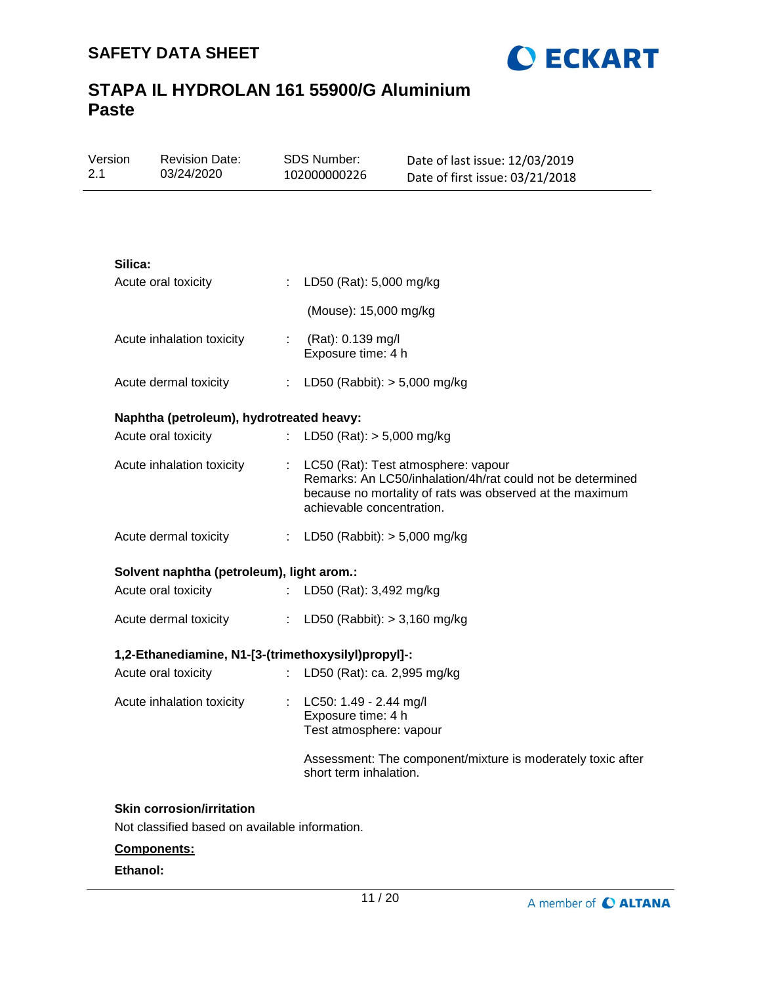Revision Date:

Version



Date of last issue: 12/03/2019

# **STAPA IL HYDROLAN 161 55900/G Aluminium Paste**

SDS Number:

| 03/24/2020                                          | 102000000226                                                              | Date of first issue: 03/21/2018                                                                                                                                 |
|-----------------------------------------------------|---------------------------------------------------------------------------|-----------------------------------------------------------------------------------------------------------------------------------------------------------------|
|                                                     |                                                                           |                                                                                                                                                                 |
|                                                     |                                                                           |                                                                                                                                                                 |
| Silica:                                             |                                                                           |                                                                                                                                                                 |
| Acute oral toxicity                                 | : LD50 (Rat): 5,000 mg/kg                                                 |                                                                                                                                                                 |
|                                                     | (Mouse): 15,000 mg/kg                                                     |                                                                                                                                                                 |
| Acute inhalation toxicity                           | : $(Rat): 0.139 mg/l$<br>Exposure time: 4 h                               |                                                                                                                                                                 |
| Acute dermal toxicity                               | : LD50 (Rabbit): $> 5,000$ mg/kg                                          |                                                                                                                                                                 |
| Naphtha (petroleum), hydrotreated heavy:            |                                                                           |                                                                                                                                                                 |
| Acute oral toxicity                                 | LD50 (Rat): $> 5,000$ mg/kg<br>÷.                                         |                                                                                                                                                                 |
| Acute inhalation toxicity                           | achievable concentration.                                                 | : LC50 (Rat): Test atmosphere: vapour<br>Remarks: An LC50/inhalation/4h/rat could not be determined<br>because no mortality of rats was observed at the maximum |
| Acute dermal toxicity                               | : LD50 (Rabbit): $> 5,000$ mg/kg                                          |                                                                                                                                                                 |
| Solvent naphtha (petroleum), light arom.:           |                                                                           |                                                                                                                                                                 |
| Acute oral toxicity                                 | : LD50 (Rat): 3,492 mg/kg                                                 |                                                                                                                                                                 |
| Acute dermal toxicity                               | : LD50 (Rabbit): $> 3,160$ mg/kg                                          |                                                                                                                                                                 |
| 1,2-Ethanediamine, N1-[3-(trimethoxysilyl)propyl]-: |                                                                           |                                                                                                                                                                 |
| Acute oral toxicity                                 | LD50 (Rat): ca. 2,995 mg/kg                                               |                                                                                                                                                                 |
| Acute inhalation toxicity                           | : LC50: 1.49 - 2.44 mg/l<br>Exposure time: 4 h<br>Test atmosphere: vapour |                                                                                                                                                                 |
|                                                     | short term inhalation.                                                    | Assessment: The component/mixture is moderately toxic after                                                                                                     |
| <b>Skin corrosion/irritation</b>                    |                                                                           |                                                                                                                                                                 |
| Not classified based on available information.      |                                                                           |                                                                                                                                                                 |
| Components:                                         |                                                                           |                                                                                                                                                                 |

## **Ethanol:**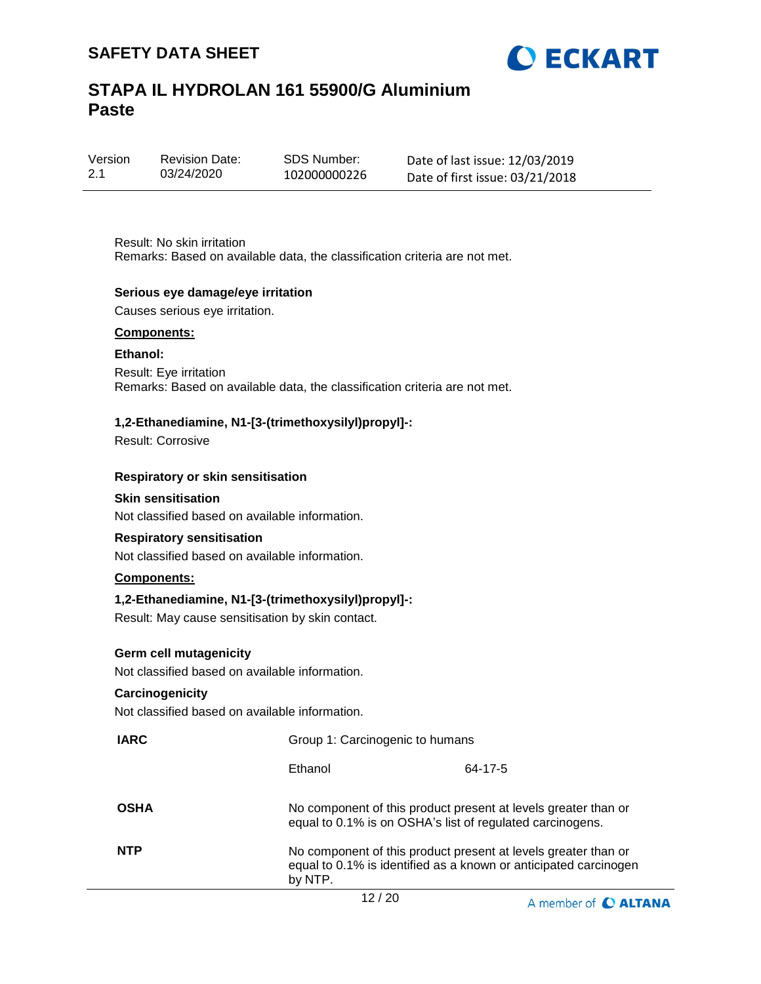



| Version | <b>Revision Date:</b> |
|---------|-----------------------|
| 2.1     | 03/24/2020            |

SDS Number: 102000000226 Date of last issue: 12/03/2019 Date of first issue: 03/21/2018

Result: No skin irritation Remarks: Based on available data, the classification criteria are not met.

### **Serious eye damage/eye irritation**

Causes serious eye irritation.

#### **Components:**

#### **Ethanol:**

Result: Eye irritation Remarks: Based on available data, the classification criteria are not met.

### **1,2-Ethanediamine, N1-[3-(trimethoxysilyl)propyl]-:**

Result: Corrosive

#### **Respiratory or skin sensitisation**

## **Skin sensitisation**

Not classified based on available information.

#### **Respiratory sensitisation**

Not classified based on available information.

### **Components:**

#### **1,2-Ethanediamine, N1-[3-(trimethoxysilyl)propyl]-:**

Result: May cause sensitisation by skin contact.

### **Germ cell mutagenicity**

Not classified based on available information.

### **Carcinogenicity**

Not classified based on available information.

| <b>IARC</b> | Group 1: Carcinogenic to humans                                                                                             |                                                                  |
|-------------|-----------------------------------------------------------------------------------------------------------------------------|------------------------------------------------------------------|
|             | Ethanol                                                                                                                     | 64-17-5                                                          |
| <b>OSHA</b> | No component of this product present at levels greater than or<br>equal to 0.1% is on OSHA's list of regulated carcinogens. |                                                                  |
| <b>NTP</b>  | No component of this product present at levels greater than or<br>by NTP.                                                   | equal to 0.1% is identified as a known or anticipated carcinogen |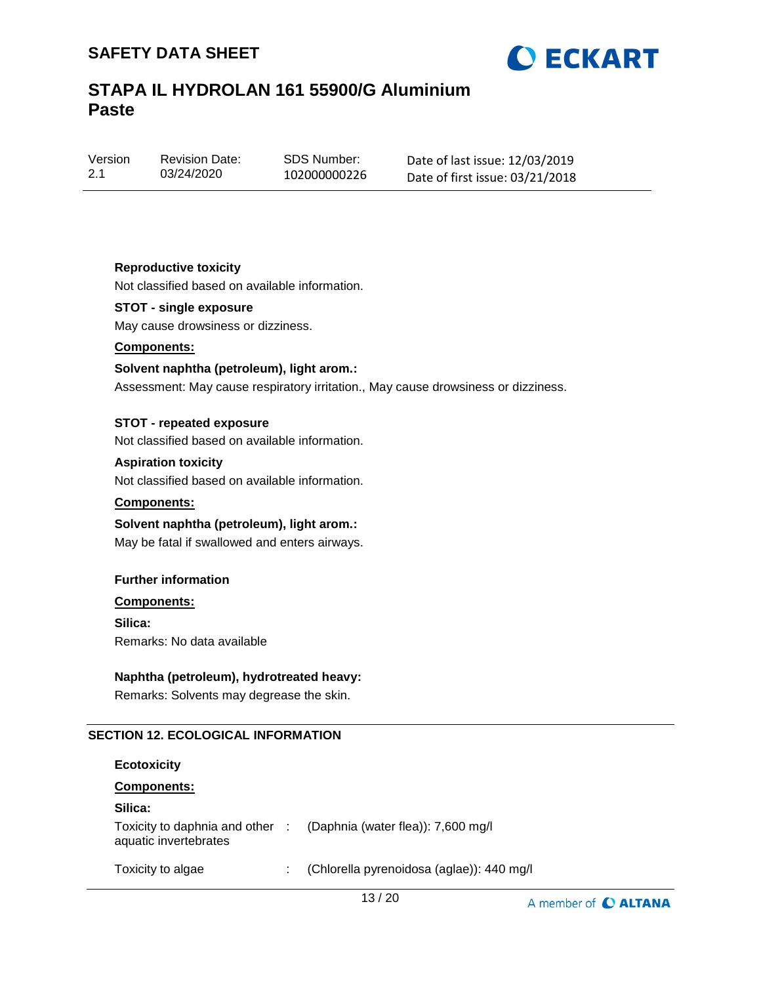



Version 2.1

Revision Date: 03/24/2020

SDS Number: 102000000226 Date of last issue: 12/03/2019 Date of first issue: 03/21/2018

## **Reproductive toxicity**

Not classified based on available information.

## **STOT - single exposure**

May cause drowsiness or dizziness.

### **Components:**

### **Solvent naphtha (petroleum), light arom.:**

Assessment: May cause respiratory irritation., May cause drowsiness or dizziness.

### **STOT - repeated exposure**

Not classified based on available information.

#### **Aspiration toxicity**

Not classified based on available information.

#### **Components:**

## **Solvent naphtha (petroleum), light arom.:**

May be fatal if swallowed and enters airways.

#### **Further information**

### **Components:**

**Silica:** Remarks: No data available

## **Naphtha (petroleum), hydrotreated heavy:**

Remarks: Solvents may degrease the skin.

## **SECTION 12. ECOLOGICAL INFORMATION**

#### **Ecotoxicity**

### **Components:**

## **Silica:**

|                       | Toxicity to daphnia and other : (Daphnia (water flea)): 7,600 mg/l |  |
|-----------------------|--------------------------------------------------------------------|--|
| aquatic invertebrates |                                                                    |  |

Toxicity to algae : (Chlorella pyrenoidosa (aglae)): 440 mg/l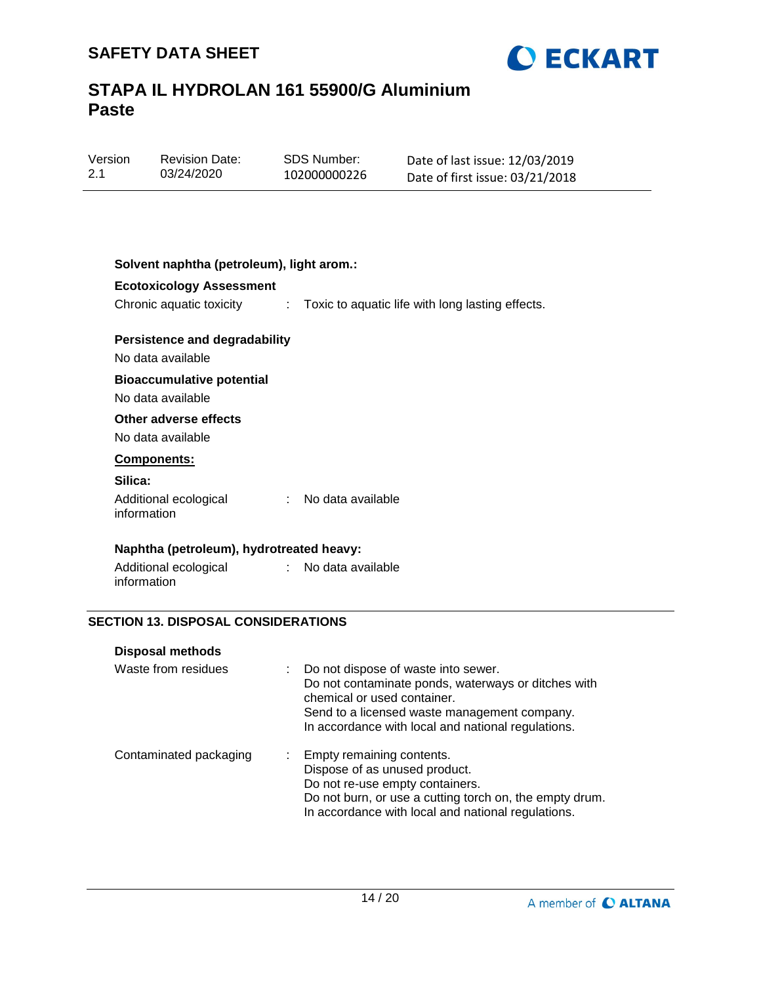

| Version | <b>Revision Date:</b> | SDS Number:  | Date of last issue: 12/03/2019  |
|---------|-----------------------|--------------|---------------------------------|
| -2.1    | 03/24/2020            | 102000000226 | Date of first issue: 03/21/2018 |
|         |                       |              |                                 |

| <b>Ecotoxicology Assessment</b>                           | Chronic aquatic toxicity : Toxic to aquatic life with long lasting effects. |
|-----------------------------------------------------------|-----------------------------------------------------------------------------|
| <b>Persistence and degradability</b><br>No data available |                                                                             |
| <b>Bioaccumulative potential</b><br>No data available     |                                                                             |
| Other adverse effects<br>No data available                |                                                                             |
| Components:                                               |                                                                             |
| Silica:                                                   |                                                                             |
| Additional ecological<br>information                      | No data available<br>$\mathbb{R}^{\mathbb{Z}}$                              |
| Naphtha (petroleum), hydrotreated heavy:                  |                                                                             |
| Additional ecological : No data available<br>information  |                                                                             |

| Waste from residues    | : Do not dispose of waste into sewer.<br>Do not contaminate ponds, waterways or ditches with<br>chemical or used container.<br>Send to a licensed waste management company.<br>In accordance with local and national regulations. |
|------------------------|-----------------------------------------------------------------------------------------------------------------------------------------------------------------------------------------------------------------------------------|
| Contaminated packaging | : Empty remaining contents.<br>Dispose of as unused product.<br>Do not re-use empty containers.<br>Do not burn, or use a cutting torch on, the empty drum.<br>In accordance with local and national regulations.                  |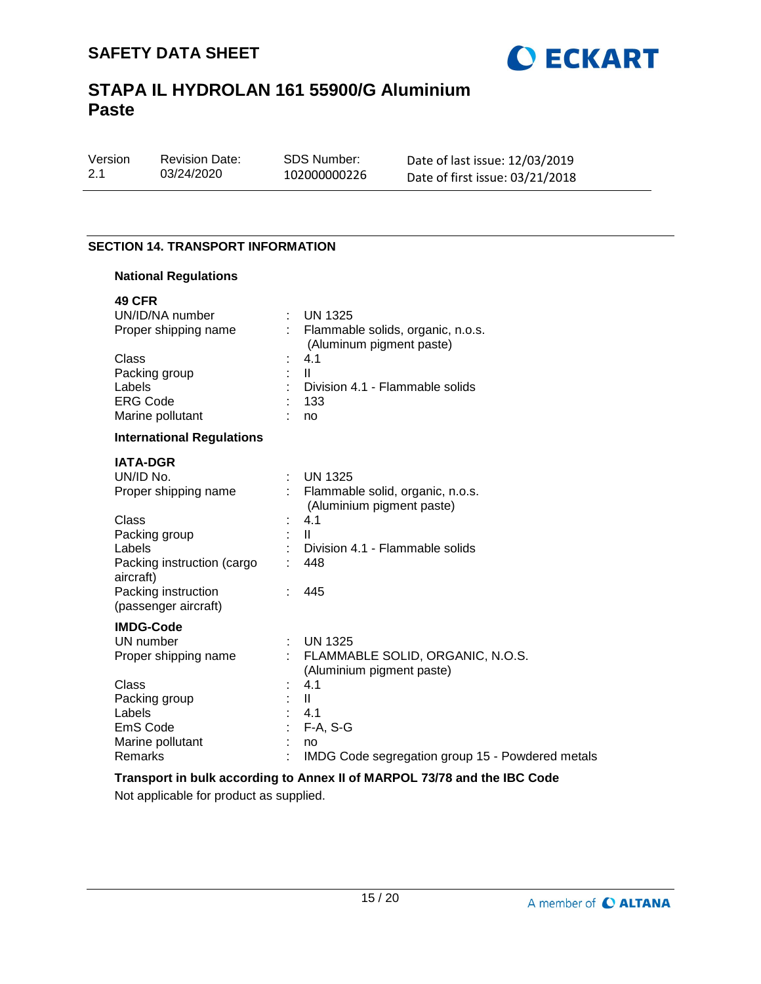

Version 2.1 03/24/2020

Revision Date:

SDS Number: 102000000226 Date of last issue: 12/03/2019 Date of first issue: 03/21/2018

## **SECTION 14. TRANSPORT INFORMATION**

## **National Regulations**

| <b>49 CFR</b>                               |                                                               |
|---------------------------------------------|---------------------------------------------------------------|
| UN/ID/NA number                             | $:$ UN 1325                                                   |
| Proper shipping name                        | Flammable solids, organic, n.o.s.<br>(Aluminum pigment paste) |
| Class                                       | 4.1                                                           |
| Packing group                               | $\mathbf{II}$                                                 |
| Labels                                      | Division 4.1 - Flammable solids                               |
| <b>ERG Code</b>                             | 133                                                           |
| Marine pollutant                            | no                                                            |
| <b>International Regulations</b>            |                                                               |
| <b>IATA-DGR</b>                             |                                                               |
| UN/ID No.                                   | <b>UN 1325</b>                                                |
| Proper shipping name                        | Flammable solid, organic, n.o.s.<br>(Aluminium pigment paste) |
| Class                                       | 4.1                                                           |
| Packing group                               | $\mathbf{II}$                                                 |
| Labels                                      | Division 4.1 - Flammable solids                               |
| Packing instruction (cargo<br>aircraft)     | 448                                                           |
| Packing instruction<br>(passenger aircraft) | 445                                                           |
| <b>IMDG-Code</b>                            |                                                               |
| UN number                                   | <b>UN 1325</b>                                                |
| Proper shipping name                        | FLAMMABLE SOLID, ORGANIC, N.O.S.                              |
|                                             | (Aluminium pigment paste)                                     |
| Class                                       | 4.1                                                           |
| Packing group                               | $\mathbf{II}$                                                 |
| Labels                                      | 4.1                                                           |
| EmS Code                                    | $F-A, S-G$                                                    |
| Marine pollutant                            | no                                                            |
| Remarks                                     | IMDG Code segregation group 15 - Powdered metals              |
|                                             |                                                               |

## **Transport in bulk according to Annex II of MARPOL 73/78 and the IBC Code**

Not applicable for product as supplied.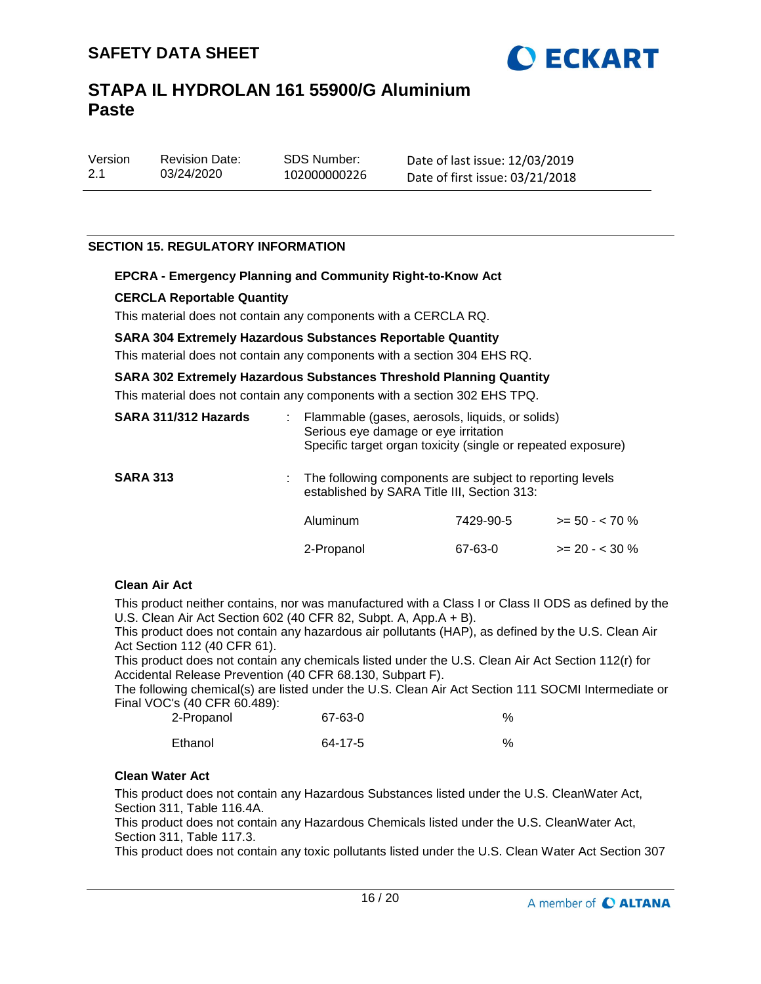

| Version | <b>Revision Date:</b> |
|---------|-----------------------|
| 2.1     | 03/24/2020            |

SDS Number: 102000000226 Date of last issue: 12/03/2019 Date of first issue: 03/21/2018

## **SECTION 15. REGULATORY INFORMATION**

### **EPCRA - Emergency Planning and Community Right-to-Know Act**

### **CERCLA Reportable Quantity**

This material does not contain any components with a CERCLA RQ.

#### **SARA 304 Extremely Hazardous Substances Reportable Quantity**

This material does not contain any components with a section 304 EHS RQ.

### **SARA 302 Extremely Hazardous Substances Threshold Planning Quantity**

This material does not contain any components with a section 302 EHS TPQ.

| SARA 311/312 Hazards | Flammable (gases, aerosols, liquids, or solids)<br>Serious eye damage or eye irritation<br>Specific target organ toxicity (single or repeated exposure) |           |                 |
|----------------------|---------------------------------------------------------------------------------------------------------------------------------------------------------|-----------|-----------------|
| <b>SARA 313</b>      | : The following components are subject to reporting levels<br>established by SARA Title III, Section 313:                                               |           |                 |
|                      | Aluminum                                                                                                                                                | 7429-90-5 | $>= 50 - 570$ % |
|                      | 2-Propanol                                                                                                                                              | 67-63-0   | $>= 20 - 30 %$  |

#### **Clean Air Act**

This product neither contains, nor was manufactured with a Class I or Class II ODS as defined by the U.S. Clean Air Act Section 602 (40 CFR 82, Subpt. A, App.A + B).

This product does not contain any hazardous air pollutants (HAP), as defined by the U.S. Clean Air Act Section 112 (40 CFR 61).

This product does not contain any chemicals listed under the U.S. Clean Air Act Section 112(r) for Accidental Release Prevention (40 CFR 68.130, Subpart F).

The following chemical(s) are listed under the U.S. Clean Air Act Section 111 SOCMI Intermediate or Final VOC's (40 CFR 60.489):

| 2-Propanol | 67-63-0 | % |
|------------|---------|---|
| Ethanol    | 64-17-5 | % |

#### **Clean Water Act**

This product does not contain any Hazardous Substances listed under the U.S. CleanWater Act, Section 311, Table 116.4A.

This product does not contain any Hazardous Chemicals listed under the U.S. CleanWater Act, Section 311, Table 117.3.

This product does not contain any toxic pollutants listed under the U.S. Clean Water Act Section 307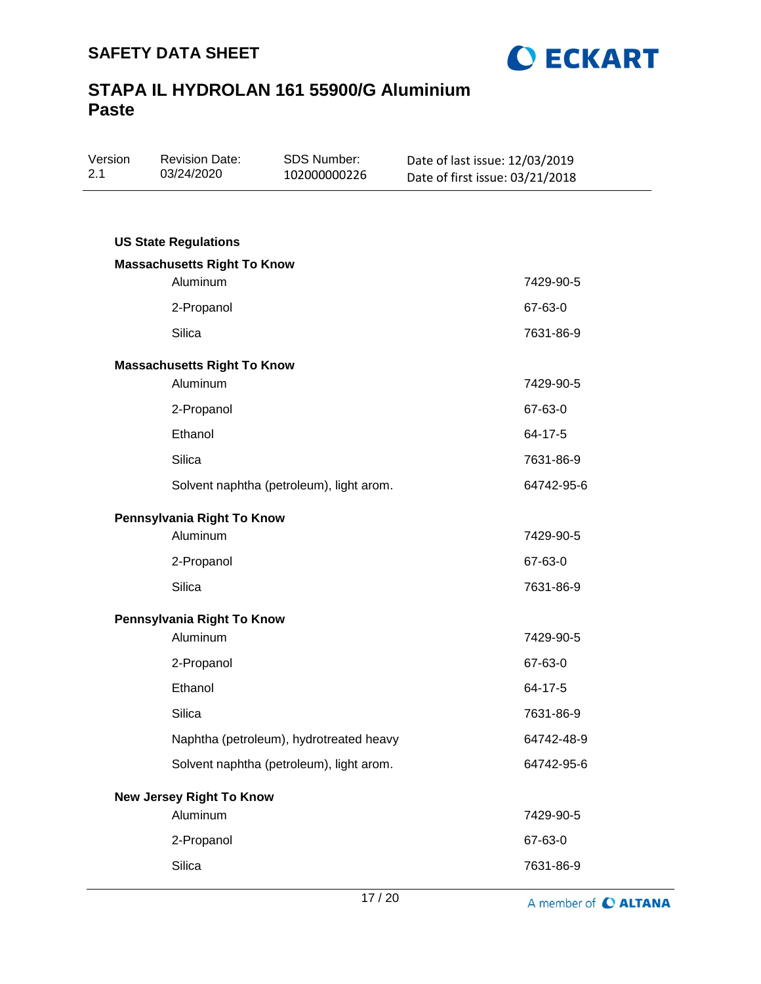

| Version<br>2.1 | <b>Revision Date:</b><br>03/24/2020 | SDS Number:<br>102000000226              | Date of last issue: 12/03/2019<br>Date of first issue: 03/21/2018 |
|----------------|-------------------------------------|------------------------------------------|-------------------------------------------------------------------|
|                |                                     |                                          |                                                                   |
|                | <b>US State Regulations</b>         |                                          |                                                                   |
|                | <b>Massachusetts Right To Know</b>  |                                          |                                                                   |
|                | Aluminum                            |                                          | 7429-90-5                                                         |
|                | 2-Propanol                          |                                          | 67-63-0                                                           |
|                | <b>Silica</b>                       |                                          | 7631-86-9                                                         |
|                | <b>Massachusetts Right To Know</b>  |                                          |                                                                   |
|                | Aluminum                            |                                          | 7429-90-5                                                         |
|                | 2-Propanol                          |                                          | 67-63-0                                                           |
|                | Ethanol                             |                                          | 64-17-5                                                           |
|                | <b>Silica</b>                       |                                          | 7631-86-9                                                         |
|                |                                     | Solvent naphtha (petroleum), light arom. | 64742-95-6                                                        |
|                | Pennsylvania Right To Know          |                                          |                                                                   |
|                | Aluminum                            |                                          | 7429-90-5                                                         |
|                | 2-Propanol                          |                                          | 67-63-0                                                           |
|                | <b>Silica</b>                       |                                          | 7631-86-9                                                         |
|                | Pennsylvania Right To Know          |                                          |                                                                   |
|                | Aluminum                            |                                          | 7429-90-5                                                         |
|                | 2-Propanol                          |                                          | 67-63-0                                                           |
|                | Ethanol                             |                                          | 64-17-5                                                           |
|                | Silica                              |                                          | 7631-86-9                                                         |
|                |                                     | Naphtha (petroleum), hydrotreated heavy  | 64742-48-9                                                        |
|                |                                     | Solvent naphtha (petroleum), light arom. | 64742-95-6                                                        |
|                | <b>New Jersey Right To Know</b>     |                                          |                                                                   |
|                | Aluminum                            |                                          | 7429-90-5                                                         |
|                | 2-Propanol                          |                                          | 67-63-0                                                           |
|                | Silica                              |                                          | 7631-86-9                                                         |

A member of C ALTANA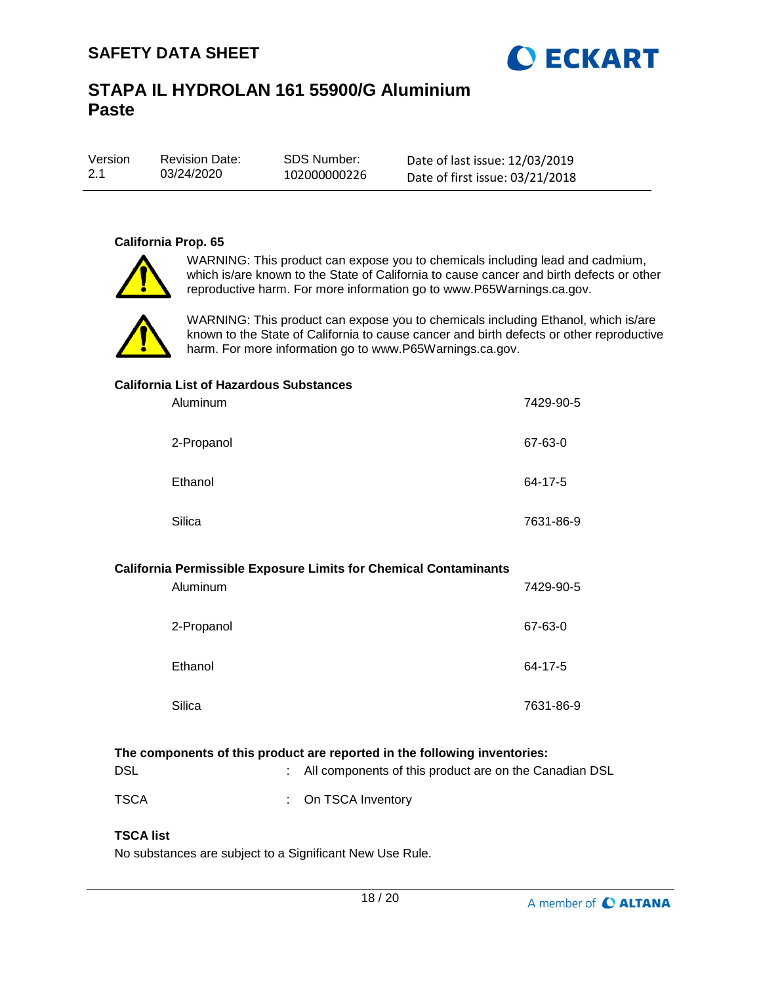

| Version | <b>Revision Date:</b> | SDS Number:  |
|---------|-----------------------|--------------|
| 2.1     | 03/24/2020            | 102000000226 |

Date of last issue: 12/03/2019 Date of first issue: 03/21/2018

## **California Prop. 65**



WARNING: This product can expose you to chemicals including lead and cadmium, which is/are known to the State of California to cause cancer and birth defects or other reproductive harm. For more information go to www.P65Warnings.ca.gov.



WARNING: This product can expose you to chemicals including Ethanol, which is/are known to the State of California to cause cancer and birth defects or other reproductive harm. For more information go to www.P65Warnings.ca.gov.

### **California List of Hazardous Substances**

| Aluminum   | 7429-90-5 |
|------------|-----------|
| 2-Propanol | 67-63-0   |
| Ethanol    | 64-17-5   |
| Silica     | 7631-86-9 |

#### **California Permissible Exposure Limits for Chemical Contaminants**

| Aluminum   | 7429-90-5 |
|------------|-----------|
| 2-Propanol | 67-63-0   |
| Ethanol    | 64-17-5   |
| Silica     | 7631-86-9 |

## **The components of this product are reported in the following inventories:**

| <b>DSL</b>  | : All components of this product are on the Canadian DSL |
|-------------|----------------------------------------------------------|
| <b>TSCA</b> | : On TSCA Inventory                                      |

## **TSCA list**

No substances are subject to a Significant New Use Rule.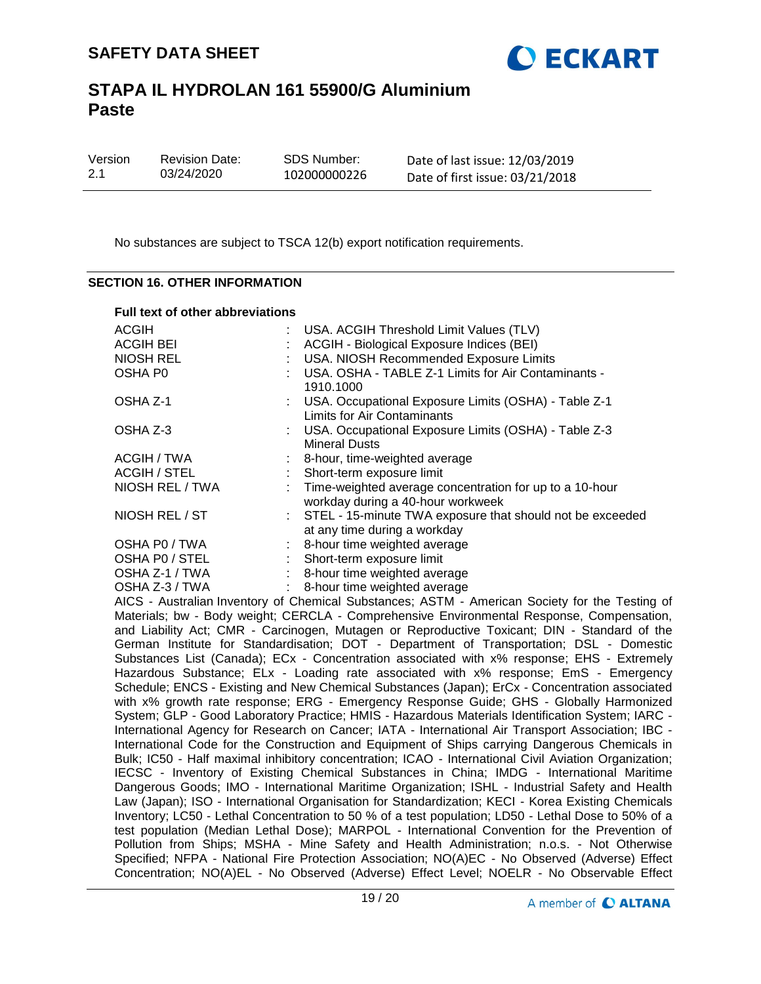

| Version | <b>Revision Date:</b> | SDS Number:  | Date of last issue: 12/03/2019  |
|---------|-----------------------|--------------|---------------------------------|
| 2.1     | 03/24/2020            | 102000000226 | Date of first issue: 03/21/2018 |

No substances are subject to TSCA 12(b) export notification requirements.

#### **SECTION 16. OTHER INFORMATION**

|  |  | <b>Full text of other abbreviations</b> |  |
|--|--|-----------------------------------------|--|
|  |  |                                         |  |

| <b>ACGIH</b>     | : USA. ACGIH Threshold Limit Values (TLV)                                                      |
|------------------|------------------------------------------------------------------------------------------------|
| <b>ACGIH BEI</b> | ACGIH - Biological Exposure Indices (BEI)                                                      |
| <b>NIOSH REL</b> | USA. NIOSH Recommended Exposure Limits                                                         |
| OSHA P0          | USA. OSHA - TABLE Z-1 Limits for Air Contaminants -<br>1910.1000                               |
| OSHA Z-1         | : USA. Occupational Exposure Limits (OSHA) - Table Z-1<br>Limits for Air Contaminants          |
| OSHA Z-3         | : USA. Occupational Exposure Limits (OSHA) - Table Z-3<br><b>Mineral Dusts</b>                 |
| ACGIH / TWA      | : 8-hour, time-weighted average                                                                |
| ACGIH / STEL     | Short-term exposure limit                                                                      |
| NIOSH REL / TWA  | : Time-weighted average concentration for up to a 10-hour<br>workday during a 40-hour workweek |
| NIOSH REL / ST   | : STEL - 15-minute TWA exposure that should not be exceeded<br>at any time during a workday    |
| OSHA P0 / TWA    | 8-hour time weighted average                                                                   |
| OSHA PO / STEL   | Short-term exposure limit                                                                      |
| OSHA Z-1 / TWA   | 8-hour time weighted average                                                                   |
| OSHA Z-3 / TWA   | 8-hour time weighted average                                                                   |

AICS - Australian Inventory of Chemical Substances; ASTM - American Society for the Testing of Materials; bw - Body weight; CERCLA - Comprehensive Environmental Response, Compensation, and Liability Act; CMR - Carcinogen, Mutagen or Reproductive Toxicant; DIN - Standard of the German Institute for Standardisation; DOT - Department of Transportation; DSL - Domestic Substances List (Canada); ECx - Concentration associated with x% response; EHS - Extremely Hazardous Substance; ELx - Loading rate associated with x% response; EmS - Emergency Schedule; ENCS - Existing and New Chemical Substances (Japan); ErCx - Concentration associated with x% growth rate response; ERG - Emergency Response Guide; GHS - Globally Harmonized System; GLP - Good Laboratory Practice; HMIS - Hazardous Materials Identification System; IARC - International Agency for Research on Cancer; IATA - International Air Transport Association; IBC - International Code for the Construction and Equipment of Ships carrying Dangerous Chemicals in Bulk; IC50 - Half maximal inhibitory concentration; ICAO - International Civil Aviation Organization; IECSC - Inventory of Existing Chemical Substances in China; IMDG - International Maritime Dangerous Goods; IMO - International Maritime Organization; ISHL - Industrial Safety and Health Law (Japan); ISO - International Organisation for Standardization; KECI - Korea Existing Chemicals Inventory; LC50 - Lethal Concentration to 50 % of a test population; LD50 - Lethal Dose to 50% of a test population (Median Lethal Dose); MARPOL - International Convention for the Prevention of Pollution from Ships; MSHA - Mine Safety and Health Administration; n.o.s. - Not Otherwise Specified; NFPA - National Fire Protection Association; NO(A)EC - No Observed (Adverse) Effect Concentration; NO(A)EL - No Observed (Adverse) Effect Level; NOELR - No Observable Effect